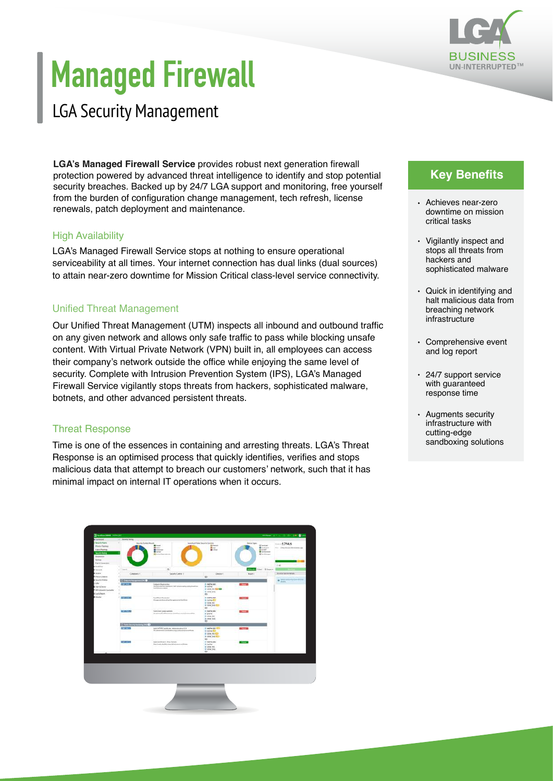

# **Managed Firewall**

## LGA Security Management

**LGA's Managed Firewall Service** provides robust next generation firewall protection powered by advanced threat intelligence to identify and stop potential security breaches. Backed up by 24/7 LGA support and monitoring, free yourself from the burden of configuration change management, tech refresh, license renewals, patch deployment and maintenance.

#### **High Availability**

LGA's Managed Firewall Service stops at nothing to ensure operational serviceability at all times. Your internet connection has dual links (dual sources) to attain near-zero downtime for Mission Critical class-level service connectivity.

#### Unified Threat Management

Our Unified Threat Management (UTM) inspects all inbound and outbound traffic on any given network and allows only safe traffic to pass while blocking unsafe content. With Virtual Private Network (VPN) built in, all employees can access their company's network outside the office while enjoying the same level of security. Complete with Intrusion Prevention System (IPS), LGA's Managed Firewall Service vigilantly stops threats from hackers, sophisticated malware, botnets, and other advanced persistent threats.

#### Threat Response

Time is one of the essences in containing and arresting threats. LGA's Threat Response is an optimised process that quickly identifies, verifies and stops malicious data that attempt to breach our customers' network, such that it has minimal impact on internal IT operations when it occurs.

| <b>E Fort-See 2000E</b> (NOTH) MD<br><b>Currente</b>                                                                                                                                                                                                                                                                  | 1 Stewart Sales        |                                                                                                                                  |                                                                                         |                                                                                                                                    | 44-April 2-1-12-20-20 20 and                 |
|-----------------------------------------------------------------------------------------------------------------------------------------------------------------------------------------------------------------------------------------------------------------------------------------------------------------------|------------------------|----------------------------------------------------------------------------------------------------------------------------------|-----------------------------------------------------------------------------------------|------------------------------------------------------------------------------------------------------------------------------------|----------------------------------------------|
| <b>Benginter Fukers</b><br><b>Physical Startings</b><br><b>Lock of Terminals</b><br>Sociétique<br>Astenation<br>bite.<br>Patrix Commission<br>Fix White<br>Ferroot k<br>Schie<br>Police & Dismuss.<br><b>Security Profiles</b><br><b>VW</b><br><b>Ger-Kilmon</b><br>MW12 Switch Darrenthy<br>Los & Report<br>Lininker | Depoils Control Routes | Severity of Folival Security Controls<br>$\frac{1}{2}$<br><b>R</b> Housand<br><b>Blond</b><br><b>Bibliotherman</b>               | <b>Birkeliser</b><br><b>Breat</b><br><b>Billia</b>                                      | <b>Device Toyott</b><br><b>Greene</b><br><b>B</b> further in<br><b>Cives</b><br><b>If</b> Tarifficeness<br><b>B</b> Family America | $-17946$<br>THE TRANSCRIPTIONAL BAY          |
|                                                                                                                                                                                                                                                                                                                       | 1 bayron<br>w.         | $\mathcal{G}_i$                                                                                                                  |                                                                                         | <b>MARKET Total - Il Control</b>                                                                                                   | 0.48                                         |
|                                                                                                                                                                                                                                                                                                                       | Conditions I.          | Septy Colesi 1                                                                                                                   | Dealers F                                                                               | <b>Read 1</b>                                                                                                                      | <b>Benetic Central Details</b>               |
|                                                                                                                                                                                                                                                                                                                       | Elisarramento<br>m     |                                                                                                                                  | <b>W</b>                                                                                |                                                                                                                                    | $\mathbf{0}$ . We distribute the Correlation |
|                                                                                                                                                                                                                                                                                                                       | 000030030<br>٠<br>×    | Infant/Autovine<br>the Plaza adaptaty or another last and the search profits primations.<br>and the second control of the second | Il mary set<br><b>IN DOW</b><br>IF-187W, FOX 823 429<br>IF SITW ENG.<br>451             | <b>CLEAN</b>                                                                                                                       |                                              |
|                                                                                                                                                                                                                                                                                                                       | <b>THE MASS</b>        | Fort Climat Presidents<br>Magazini desire inside-general schedbes                                                                | IN NORWARD.<br><b>IF OCEAN OUT</b><br><b>IS MONORED</b><br>in tehy no 600<br>$\sim$     | <b>DESCRIPTION</b>                                                                                                                 |                                              |
|                                                                                                                                                                                                                                                                                                                       | <b>COMPANY</b><br>---  | <b>Fund</b> /Jan Vulner attition<br>Mogowell will bendere earther or a high streamline.                                          | In AICENE BAT.<br>III SCFW<br>IF GEN PEL<br>is any ne.<br><b>KD</b>                     | <b>STORY OF</b>                                                                                                                    |                                              |
|                                                                                                                                                                                                                                                                                                                       | 2 has been terms (s) O |                                                                                                                                  |                                                                                         |                                                                                                                                    |                                              |
|                                                                                                                                                                                                                                                                                                                       | 31.311.13              | HAM RETRO CALIFORNIA   ADMINISTRATION<br>The addition result of a financial contract of a product of a discussion result in an   | 25 HOLM SEE TOOL<br><b>IN OCEAN AND</b><br><b>E-SIV/RISH</b><br>is pricing \$50.<br>es. | <b>Charles</b>                                                                                                                     |                                              |
|                                                                                                                                                                                                                                                                                                                       | <b>QUESTIONS</b>       | Sand Cardinal of Play Turnelli<br>The livest staff to sing off actually achieve-                                                 | <b>HI-MOPMEREE</b><br><b>ID DOTA</b><br><b>M-TOYAC RRU</b><br>IF III'W DAL<br>$\equiv$  | $\sim$                                                                                                                             |                                              |
|                                                                                                                                                                                                                                                                                                                       |                        |                                                                                                                                  |                                                                                         |                                                                                                                                    |                                              |
|                                                                                                                                                                                                                                                                                                                       |                        |                                                                                                                                  |                                                                                         |                                                                                                                                    |                                              |
|                                                                                                                                                                                                                                                                                                                       |                        |                                                                                                                                  |                                                                                         |                                                                                                                                    |                                              |
|                                                                                                                                                                                                                                                                                                                       |                        |                                                                                                                                  |                                                                                         |                                                                                                                                    |                                              |

## **Key Benefits**

- Achieves near-zero downtime on mission critical tasks
- Vigilantly inspect and stops all threats from hackers and sophisticated malware
- Quick in identifying and halt malicious data from breaching network infrastructure
- Comprehensive event and log report
- 24/7 support service with guaranteed response time
- Augments security infrastructure with cutting-edge sandboxing solutions